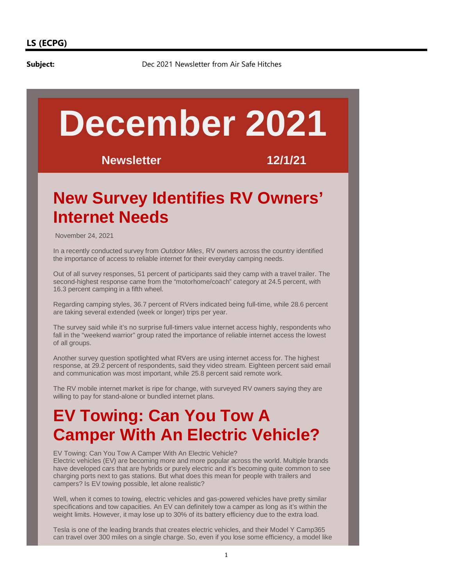**Subject:** Dec 2021 Newsletter from Air Safe Hitches

# **December 2021**

**Newsletter 12/1/21**

# **New Survey Identifies RV Owners' Internet Needs**

November 24, 2021

In a recently conducted survey from Outdoor Miles, RV owners across the country identified the importance of access to reliable internet for their everyday camping needs.

Out of all survey responses, 51 percent of participants said they camp with a travel trailer. The second-highest response came from the "motorhome/coach" category at 24.5 percent, with 16.3 percent camping in a fifth wheel.

Regarding camping styles, 36.7 percent of RVers indicated being full-time, while 28.6 percent are taking several extended (week or longer) trips per year.

The survey said while it's no surprise full-timers value internet access highly, respondents who fall in the "weekend warrior" group rated the importance of reliable internet access the lowest of all groups.

Another survey question spotlighted what RVers are using internet access for. The highest response, at 29.2 percent of respondents, said they video stream. Eighteen percent said email and communication was most important, while 25.8 percent said remote work.

The RV mobile internet market is ripe for change, with surveyed RV owners saying they are willing to pay for stand-alone or bundled internet plans.

# **EV Towing: Can You Tow A Camper With An Electric Vehicle?**

EV Towing: Can You Tow A Camper With An Electric Vehicle? Electric vehicles (EV) are becoming more and more popular across the world. Multiple brands have developed cars that are hybrids or purely electric and it's becoming quite common to see charging ports next to gas stations. But what does this mean for people with trailers and campers? Is EV towing possible, let alone realistic?

Well, when it comes to towing, electric vehicles and gas-powered vehicles have pretty similar specifications and tow capacities. An EV can definitely tow a camper as long as it's within the weight limits. However, it may lose up to 30% of its battery efficiency due to the extra load.

Tesla is one of the leading brands that creates electric vehicles, and their Model Y Camp365 can travel over 300 miles on a single charge. So, even if you lose some efficiency, a model like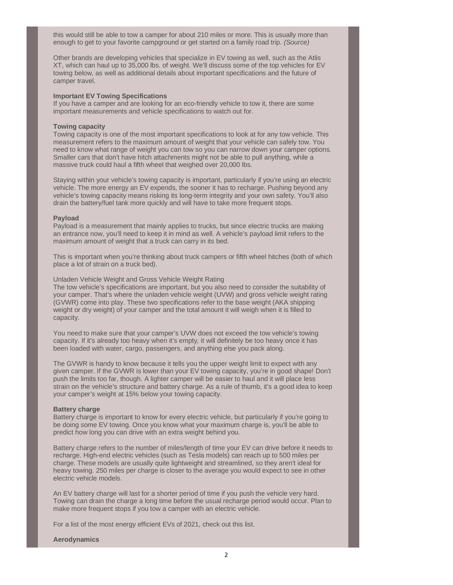this would still be able to tow a camper for about 210 miles or more. This is usually more than enough to get to your favorite campground or get started on a family road trip. (Source)

Other brands are developing vehicles that specialize in EV towing as well, such as the Atlis XT, which can haul up to 35,000 lbs. of weight. We'll discuss some of the top vehicles for EV towing below, as well as additional details about important specifications and the future of camper travel.

#### **Important EV Towing Specifications**

If you have a camper and are looking for an eco-friendly vehicle to tow it, there are some important measurements and vehicle specifications to watch out for.

## **Towing capacity**

Towing capacity is one of the most important specifications to look at for any tow vehicle. This measurement refers to the maximum amount of weight that your vehicle can safely tow. You need to know what range of weight you can tow so you can narrow down your camper options. Smaller cars that don't have hitch attachments might not be able to pull anything, while a massive truck could haul a fifth wheel that weighed over 20,000 lbs.

Staying within your vehicle's towing capacity is important, particularly if you're using an electric vehicle. The more energy an EV expends, the sooner it has to recharge. Pushing beyond any vehicle's towing capacity means risking its long-term integrity and your own safety. You'll also drain the battery/fuel tank more quickly and will have to take more frequent stops.

#### **Payload**

Payload is a measurement that mainly applies to trucks, but since electric trucks are making an entrance now, you'll need to keep it in mind as well. A vehicle's payload limit refers to the maximum amount of weight that a truck can carry in its bed.

This is important when you're thinking about truck campers or fifth wheel hitches (both of which place a lot of strain on a truck bed).

Unladen Vehicle Weight and Gross Vehicle Weight Rating

The tow vehicle's specifications are important, but you also need to consider the suitability of your camper. That's where the unladen vehicle weight (UVW) and gross vehicle weight rating (GVWR) come into play. These two specifications refer to the base weight (AKA shipping weight or dry weight) of your camper and the total amount it will weigh when it is filled to capacity.

You need to make sure that your camper's UVW does not exceed the tow vehicle's towing capacity. If it's already too heavy when it's empty, it will definitely be too heavy once it has been loaded with water, cargo, passengers, and anything else you pack along.

The GVWR is handy to know because it tells you the upper weight limit to expect with any given camper. If the GVWR is lower than your EV towing capacity, you're in good shape! Don't push the limits too far, though. A lighter camper will be easier to haul and it will place less strain on the vehicle's structure and battery charge. As a rule of thumb, it's a good idea to keep your camper's weight at 15% below your towing capacity.

#### **Battery charge**

Battery charge is important to know for every electric vehicle, but particularly if you're going to be doing some EV towing. Once you know what your maximum charge is, you'll be able to predict how long you can drive with an extra weight behind you.

Battery charge refers to the number of miles/length of time your EV can drive before it needs to recharge. High-end electric vehicles (such as Tesla models) can reach up to 500 miles per charge. These models are usually quite lightweight and streamlined, so they aren't ideal for heavy towing. 250 miles per charge is closer to the average you would expect to see in other electric vehicle models.

An EV battery charge will last for a shorter period of time if you push the vehicle very hard. Towing can drain the charge a long time before the usual recharge period would occur. Plan to make more frequent stops if you tow a camper with an electric vehicle.

For a list of the most energy efficient EVs of 2021, check out this list.

#### **Aerodynamics**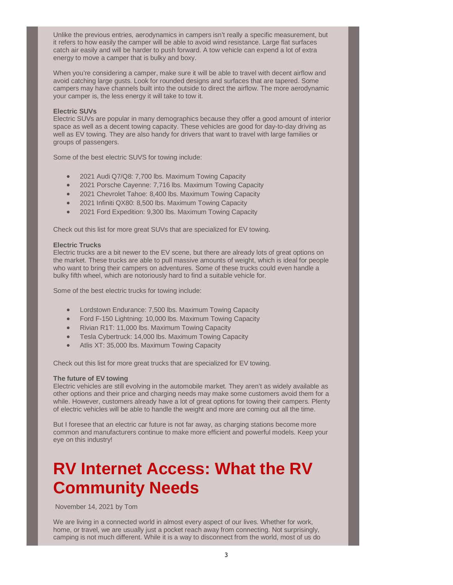Unlike the previous entries, aerodynamics in campers isn't really a specific measurement, but it refers to how easily the camper will be able to avoid wind resistance. Large flat surfaces catch air easily and will be harder to push forward. A tow vehicle can expend a lot of extra energy to move a camper that is bulky and boxy.

When you're considering a camper, make sure it will be able to travel with decent airflow and avoid catching large gusts. Look for rounded designs and surfaces that are tapered. Some campers may have channels built into the outside to direct the airflow. The more aerodynamic your camper is, the less energy it will take to tow it.

# **Electric SUVs**

Electric SUVs are popular in many demographics because they offer a good amount of interior space as well as a decent towing capacity. These vehicles are good for day-to-day driving as well as EV towing. They are also handy for drivers that want to travel with large families or groups of passengers.

Some of the best electric SUVS for towing include:

- 2021 Audi Q7/Q8: 7,700 lbs. Maximum Towing Capacity
- 2021 Porsche Cayenne: 7,716 lbs. Maximum Towing Capacity
- 2021 Chevrolet Tahoe: 8,400 lbs. Maximum Towing Capacity
- 2021 Infiniti QX80: 8,500 lbs. Maximum Towing Capacity
- � 2021 Ford Expedition: 9,300 lbs. Maximum Towing Capacity

Check out this list for more great SUVs that are specialized for EV towing.

# **Electric Trucks**

Electric trucks are a bit newer to the EV scene, but there are already lots of great options on the market. These trucks are able to pull massive amounts of weight, which is ideal for people who want to bring their campers on adventures. Some of these trucks could even handle a bulky fifth wheel, which are notoriously hard to find a suitable vehicle for.

Some of the best electric trucks for towing include:

- � Lordstown Endurance: 7,500 lbs. Maximum Towing Capacity
- Ford F-150 Lightning: 10,000 lbs. Maximum Towing Capacity
- Rivian R1T: 11,000 lbs. Maximum Towing Capacity
- Tesla Cybertruck: 14,000 lbs. Maximum Towing Capacity
- Atlis XT: 35,000 lbs. Maximum Towing Capacity

Check out this list for more great trucks that are specialized for EV towing.

## **The future of EV towing**

Electric vehicles are still evolving in the automobile market. They aren't as widely available as other options and their price and charging needs may make some customers avoid them for a while. However, customers already have a lot of great options for towing their campers. Plenty of electric vehicles will be able to handle the weight and more are coming out all the time.

But I foresee that an electric car future is not far away, as charging stations become more common and manufacturers continue to make more efficient and powerful models. Keep your eye on this industry!

# **RV Internet Access: What the RV Community Needs**

November 14, 2021 by Tom

We are living in a connected world in almost every aspect of our lives. Whether for work, home, or travel, we are usually just a pocket reach away from connecting. Not surprisingly, camping is not much different. While it is a way to disconnect from the world, most of us do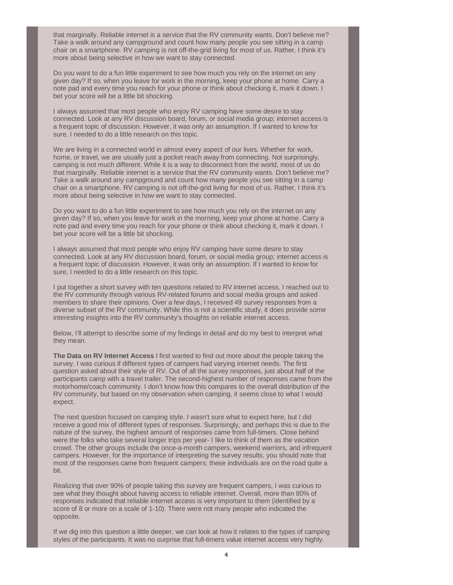that marginally. Reliable internet is a service that the RV community wants. Don't believe me? Take a walk around any campground and count how many people you see sitting in a camp chair on a smartphone. RV camping is not off-the-grid living for most of us. Rather, I think it's more about being selective in how we want to stay connected.

Do you want to do a fun little experiment to see how much you rely on the internet on any given day? If so, when you leave for work in the morning, keep your phone at home. Carry a note pad and every time you reach for your phone or think about checking it, mark it down. I bet your score will be a little bit shocking.

I always assumed that most people who enjoy RV camping have some desire to stay connected. Look at any RV discussion board, forum, or social media group; internet access is a frequent topic of discussion. However, it was only an assumption. If I wanted to know for sure, I needed to do a little research on this topic.

We are living in a connected world in almost every aspect of our lives. Whether for work, home, or travel, we are usually just a pocket reach away from connecting. Not surprisingly, camping is not much different. While it is a way to disconnect from the world, most of us do that marginally. Reliable internet is a service that the RV community wants. Don't believe me? Take a walk around any campground and count how many people you see sitting in a camp chair on a smartphone. RV camping is not off-the-grid living for most of us. Rather, I think it's more about being selective in how we want to stay connected.

Do you want to do a fun little experiment to see how much you rely on the internet on any given day? If so, when you leave for work in the morning, keep your phone at home. Carry a note pad and every time you reach for your phone or think about checking it, mark it down. I bet your score will be a little bit shocking.

I always assumed that most people who enjoy RV camping have some desire to stay connected. Look at any RV discussion board, forum, or social media group; internet access is a frequent topic of discussion. However, it was only an assumption. If I wanted to know for sure, I needed to do a little research on this topic.

I put together a short survey with ten questions related to RV internet access. I reached out to the RV community through various RV-related forums and social media groups and asked members to share their opinions. Over a few days, I received 49 survey responses from a diverse subset of the RV community. While this is not a scientific study, it does provide some interesting insights into the RV community's thoughts on reliable internet access.

Below, I'll attempt to describe some of my findings in detail and do my best to interpret what they mean.

**The Data on RV Internet Access** I first wanted to find out more about the people taking the survey. I was curious if different types of campers had varying internet needs. The first question asked about their style of RV. Out of all the survey responses, just about half of the participants camp with a travel trailer. The second-highest number of responses came from the motorhome/coach community. I don't know how this compares to the overall distribution of the RV community, but based on my observation when camping, it seems close to what I would expect.

The next question focused on camping style. I wasn't sure what to expect here, but I did receive a good mix of different types of responses. Surprisingly, and perhaps this is due to the nature of the survey, the highest amount of responses came from full-timers. Close behind were the folks who take several longer trips per year- I like to think of them as the vacation crowd. The other groups include the once-a-month campers, weekend warriors, and infrequent campers. However, for the importance of interpreting the survey results, you should note that most of the responses came from frequent campers; these individuals are on the road quite a bit.

Realizing that over 90% of people taking this survey are frequent campers, I was curious to see what they thought about having access to reliable internet. Overall, more than 80% of responses indicated that reliable internet access is very important to them (identified by a score of 8 or more on a scale of 1-10). There were not many people who indicated the opposite.

If we dig into this question a little deeper, we can look at how it relates to the types of camping styles of the participants. It was no surprise that full-timers value internet access very highly.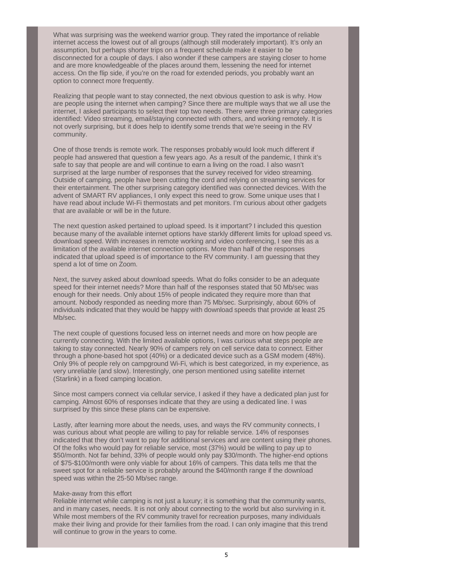What was surprising was the weekend warrior group. They rated the importance of reliable internet access the lowest out of all groups (although still moderately important). It's only an assumption, but perhaps shorter trips on a frequent schedule make it easier to be disconnected for a couple of days. I also wonder if these campers are staying closer to home and are more knowledgeable of the places around them, lessening the need for internet access. On the flip side, if you're on the road for extended periods, you probably want an option to connect more frequently.

Realizing that people want to stay connected, the next obvious question to ask is why. How are people using the internet when camping? Since there are multiple ways that we all use the internet, I asked participants to select their top two needs. There were three primary categories identified: Video streaming, email/staying connected with others, and working remotely. It is not overly surprising, but it does help to identify some trends that we're seeing in the RV community.

One of those trends is remote work. The responses probably would look much different if people had answered that question a few years ago. As a result of the pandemic, I think it's safe to say that people are and will continue to earn a living on the road. I also wasn't surprised at the large number of responses that the survey received for video streaming. Outside of camping, people have been cutting the cord and relying on streaming services for their entertainment. The other surprising category identified was connected devices. With the advent of SMART RV appliances, I only expect this need to grow. Some unique uses that I have read about include Wi-Fi thermostats and pet monitors. I'm curious about other gadgets that are available or will be in the future.

The next question asked pertained to upload speed. Is it important? I included this question because many of the available internet options have starkly different limits for upload speed vs. download speed. With increases in remote working and video conferencing, I see this as a limitation of the available internet connection options. More than half of the responses indicated that upload speed is of importance to the RV community. I am guessing that they spend a lot of time on Zoom.

Next, the survey asked about download speeds. What do folks consider to be an adequate speed for their internet needs? More than half of the responses stated that 50 Mb/sec was enough for their needs. Only about 15% of people indicated they require more than that amount. Nobody responded as needing more than 75 Mb/sec. Surprisingly, about 60% of individuals indicated that they would be happy with download speeds that provide at least 25 Mb/sec.

The next couple of questions focused less on internet needs and more on how people are currently connecting. With the limited available options, I was curious what steps people are taking to stay connected. Nearly 90% of campers rely on cell service data to connect. Either through a phone-based hot spot (40%) or a dedicated device such as a GSM modem (48%). Only 9% of people rely on campground Wi-Fi, which is best categorized, in my experience, as very unreliable (and slow). Interestingly, one person mentioned using satellite internet (Starlink) in a fixed camping location.

Since most campers connect via cellular service, I asked if they have a dedicated plan just for camping. Almost 60% of responses indicate that they are using a dedicated line. I was surprised by this since these plans can be expensive.

Lastly, after learning more about the needs, uses, and ways the RV community connects, I was curious about what people are willing to pay for reliable service. 14% of responses indicated that they don't want to pay for additional services and are content using their phones. Of the folks who would pay for reliable service, most (37%) would be willing to pay up to \$50/month. Not far behind, 33% of people would only pay \$30/month. The higher-end options of \$75-\$100/month were only viable for about 16% of campers. This data tells me that the sweet spot for a reliable service is probably around the \$40/month range if the download speed was within the 25-50 Mb/sec range.

## Make-away from this effort

Reliable internet while camping is not just a luxury; it is something that the community wants, and in many cases, needs. It is not only about connecting to the world but also surviving in it. While most members of the RV community travel for recreation purposes, many individuals make their living and provide for their families from the road. I can only imagine that this trend will continue to grow in the years to come.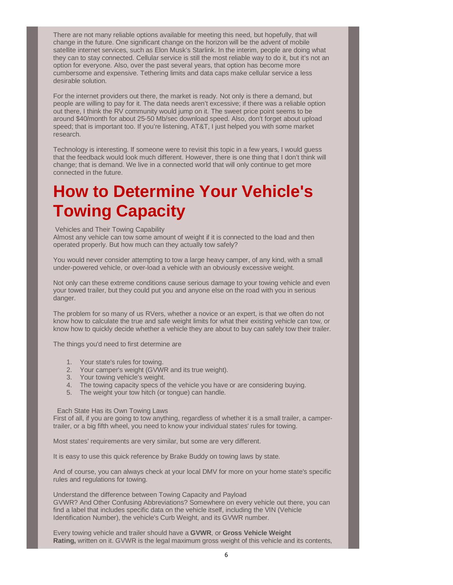There are not many reliable options available for meeting this need, but hopefully, that will change in the future. One significant change on the horizon will be the advent of mobile satellite internet services, such as Elon Musk's Starlink. In the interim, people are doing what they can to stay connected. Cellular service is still the most reliable way to do it, but it's not an option for everyone. Also, over the past several years, that option has become more cumbersome and expensive. Tethering limits and data caps make cellular service a less desirable solution.

For the internet providers out there, the market is ready. Not only is there a demand, but people are willing to pay for it. The data needs aren't excessive; if there was a reliable option out there, I think the RV community would jump on it. The sweet price point seems to be around \$40/month for about 25-50 Mb/sec download speed. Also, don't forget about upload speed; that is important too. If you're listening, AT&T, I just helped you with some market research.

Technology is interesting. If someone were to revisit this topic in a few years, I would guess that the feedback would look much different. However, there is one thing that I don't think will change; that is demand. We live in a connected world that will only continue to get more connected in the future.

# **How to Determine Your Vehicle's Towing Capacity**

## Vehicles and Their Towing Capability

Almost any vehicle can tow some amount of weight if it is connected to the load and then operated properly. But how much can they actually tow safely?

You would never consider attempting to tow a large heavy camper, of any kind, with a small under-powered vehicle, or over-load a vehicle with an obviously excessive weight.

Not only can these extreme conditions cause serious damage to your towing vehicle and even your towed trailer, but they could put you and anyone else on the road with you in serious danger.

The problem for so many of us RVers, whether a novice or an expert, is that we often do not know how to calculate the true and safe weight limits for what their existing vehicle can tow, or know how to quickly decide whether a vehicle they are about to buy can safely tow their trailer.

The things you'd need to first determine are

- 1. Your state's rules for towing.
- 2. Your camper's weight (GVWR and its true weight).
- 3. Your towing vehicle's weight.
- 4. The towing capacity specs of the vehicle you have or are considering buying.
- 5. The weight your tow hitch (or tongue) can handle.

## Each State Has its Own Towing Laws

First of all, if you are going to tow anything, regardless of whether it is a small trailer, a campertrailer, or a big fifth wheel, you need to know your individual states' rules for towing.

Most states' requirements are very similar, but some are very different.

It is easy to use this quick reference by Brake Buddy on towing laws by state.

And of course, you can always check at your local DMV for more on your home state's specific rules and regulations for towing.

Understand the difference between Towing Capacity and Payload GVWR? And Other Confusing Abbreviations? Somewhere on every vehicle out there, you can find a label that includes specific data on the vehicle itself, including the VIN (Vehicle Identification Number), the vehicle's Curb Weight, and its GVWR number.

Every towing vehicle and trailer should have a **GVWR**, or **Gross Vehicle Weight Rating,** written on it. GVWR is the legal maximum gross weight of this vehicle and its contents,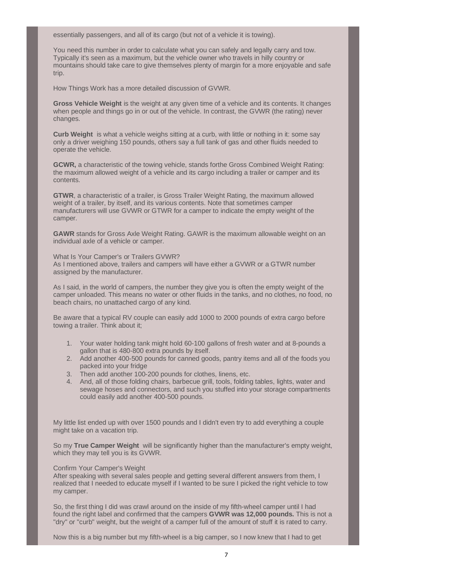essentially passengers, and all of its cargo (but not of a vehicle it is towing).

You need this number in order to calculate what you can safely and legally carry and tow. Typically it's seen as a maximum, but the vehicle owner who travels in hilly country or mountains should take care to give themselves plenty of margin for a more enjoyable and safe trip.

How Things Work has a more detailed discussion of GVWR.

**Gross Vehicle Weight** is the weight at any given time of a vehicle and its contents. It changes when people and things go in or out of the vehicle. In contrast, the GVWR (the rating) never changes.

**Curb Weight** is what a vehicle weighs sitting at a curb, with little or nothing in it: some say only a driver weighing 150 pounds, others say a full tank of gas and other fluids needed to operate the vehicle.

**GCWR,** a characteristic of the towing vehicle, stands forthe Gross Combined Weight Rating: the maximum allowed weight of a vehicle and its cargo including a trailer or camper and its contents.

**GTWR**, a characteristic of a trailer, is Gross Trailer Weight Rating, the maximum allowed weight of a trailer, by itself, and its various contents. Note that sometimes camper manufacturers will use GVWR or GTWR for a camper to indicate the empty weight of the camper.

**GAWR** stands for Gross Axle Weight Rating. GAWR is the maximum allowable weight on an individual axle of a vehicle or camper.

What Is Your Camper's or Trailers GVWR? As I mentioned above, trailers and campers will have either a GVWR or a GTWR number assigned by the manufacturer.

As I said, in the world of campers, the number they give you is often the empty weight of the camper unloaded. This means no water or other fluids in the tanks, and no clothes, no food, no beach chairs, no unattached cargo of any kind.

Be aware that a typical RV couple can easily add 1000 to 2000 pounds of extra cargo before towing a trailer. Think about it;

- 1. Your water holding tank might hold 60-100 gallons of fresh water and at 8-pounds a gallon that is 480-800 extra pounds by itself.
- 2. Add another 400-500 pounds for canned goods, pantry items and all of the foods you packed into your fridge
- 3. Then add another 100-200 pounds for clothes, linens, etc.
- 4. And, all of those folding chairs, barbecue grill, tools, folding tables, lights, water and sewage hoses and connectors, and such you stuffed into your storage compartments could easily add another 400-500 pounds.

My little list ended up with over 1500 pounds and I didn't even try to add everything a couple might take on a vacation trip.

So my **True Camper Weight** will be significantly higher than the manufacturer's empty weight, which they may tell you is its GVWR.

## Confirm Your Camper's Weight

After speaking with several sales people and getting several different answers from them, I realized that I needed to educate myself if I wanted to be sure I picked the right vehicle to tow my camper.

So, the first thing I did was crawl around on the inside of my fifth-wheel camper until I had found the right label and confirmed that the campers **GVWR was 12,000 pounds.** This is not a "dry" or "curb" weight, but the weight of a camper full of the amount of stuff it is rated to carry.

Now this is a big number but my fifth-wheel is a big camper, so I now knew that I had to get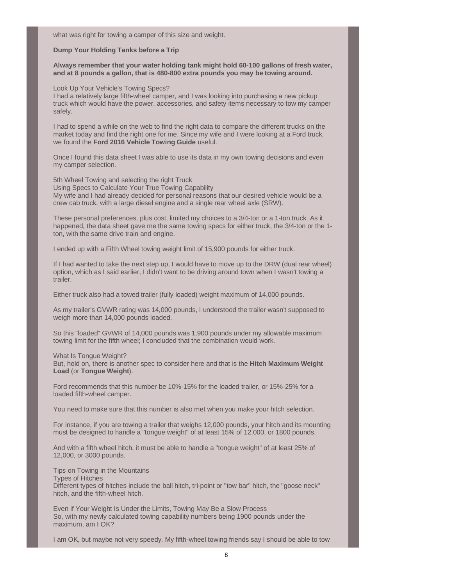what was right for towing a camper of this size and weight.

#### **Dump Your Holding Tanks before a Trip**

**Always remember that your water holding tank might hold 60-100 gallons of fresh water, and at 8 pounds a gallon, that is 480-800 extra pounds you may be towing around.**

Look Up Your Vehicle's Towing Specs?

I had a relatively large fifth-wheel camper, and I was looking into purchasing a new pickup truck which would have the power, accessories, and safety items necessary to tow my camper safely.

I had to spend a while on the web to find the right data to compare the different trucks on the market today and find the right one for me. Since my wife and I were looking at a Ford truck, we found the **Ford 2016 Vehicle Towing Guide** useful.

Once I found this data sheet I was able to use its data in my own towing decisions and even my camper selection.

5th Wheel Towing and selecting the right Truck Using Specs to Calculate Your True Towing Capability My wife and I had already decided for personal reasons that our desired vehicle would be a crew cab truck, with a large diesel engine and a single rear wheel axle (SRW).

These personal preferences, plus cost, limited my choices to a 3/4-ton or a 1-ton truck. As it happened, the data sheet gave me the same towing specs for either truck, the 3/4-ton or the 1 ton, with the same drive train and engine.

I ended up with a Fifth Wheel towing weight limit of 15,900 pounds for either truck.

If I had wanted to take the next step up, I would have to move up to the DRW (dual rear wheel) option, which as I said earlier, I didn't want to be driving around town when I wasn't towing a trailer.

Either truck also had a towed trailer (fully loaded) weight maximum of 14,000 pounds.

As my trailer's GVWR rating was 14,000 pounds, I understood the trailer wasn't supposed to weigh more than 14,000 pounds loaded.

So this "loaded" GVWR of 14,000 pounds was 1,900 pounds under my allowable maximum towing limit for the fifth wheel; I concluded that the combination would work.

What Is Tongue Weight?

But, hold on, there is another spec to consider here and that is the **Hitch Maximum Weight Load** (or **Tongue Weight**).

Ford recommends that this number be 10%-15% for the loaded trailer, or 15%-25% for a loaded fifth-wheel camper.

You need to make sure that this number is also met when you make your hitch selection.

For instance, if you are towing a trailer that weighs 12,000 pounds, your hitch and its mounting must be designed to handle a "tongue weight" of at least 15% of 12,000, or 1800 pounds.

And with a fifth wheel hitch, it must be able to handle a "tongue weight" of at least 25% of 12,000, or 3000 pounds.

Tips on Towing in the Mountains Types of Hitches Different types of hitches include the ball hitch, tri-point or "tow bar" hitch, the "goose neck" hitch, and the fifth-wheel hitch.

Even if Your Weight Is Under the Limits, Towing May Be a Slow Process So, with my newly calculated towing capability numbers being 1900 pounds under the maximum, am I OK?

I am OK, but maybe not very speedy. My fifth-wheel towing friends say I should be able to tow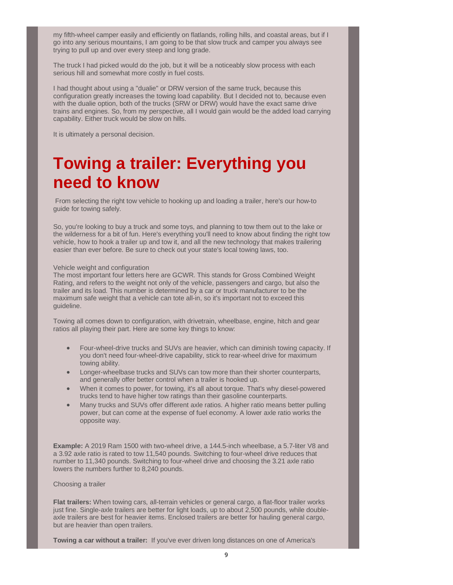my fifth-wheel camper easily and efficiently on flatlands, rolling hills, and coastal areas, but if I go into any serious mountains, I am going to be that slow truck and camper you always see trying to pull up and over every steep and long grade.

The truck I had picked would do the job, but it will be a noticeably slow process with each serious hill and somewhat more costly in fuel costs.

I had thought about using a "dualie" or DRW version of the same truck, because this configuration greatly increases the towing load capability. But I decided not to, because even with the dualie option, both of the trucks (SRW or DRW) would have the exact same drive trains and engines. So, from my perspective, all I would gain would be the added load carrying capability. Either truck would be slow on hills.

It is ultimately a personal decision.

# **Towing a trailer: Everything you need to know**

 From selecting the right tow vehicle to hooking up and loading a trailer, here's our how-to guide for towing safely.

So, you're looking to buy a truck and some toys, and planning to tow them out to the lake or the wilderness for a bit of fun. Here's everything you'll need to know about finding the right tow vehicle, how to hook a trailer up and tow it, and all the new technology that makes trailering easier than ever before. Be sure to check out your state's local towing laws, too.

## Vehicle weight and configuration

The most important four letters here are GCWR. This stands for Gross Combined Weight Rating, and refers to the weight not only of the vehicle, passengers and cargo, but also the trailer and its load. This number is determined by a car or truck manufacturer to be the maximum safe weight that a vehicle can tote all-in, so it's important not to exceed this guideline.

Towing all comes down to configuration, with drivetrain, wheelbase, engine, hitch and gear ratios all playing their part. Here are some key things to know:

- � Four-wheel-drive trucks and SUVs are heavier, which can diminish towing capacity. If you don't need four-wheel-drive capability, stick to rear-wheel drive for maximum towing ability.
- Longer-wheelbase trucks and SUVs can tow more than their shorter counterparts, and generally offer better control when a trailer is hooked up.
- When it comes to power, for towing, it's all about torque. That's why diesel-powered trucks tend to have higher tow ratings than their gasoline counterparts.
- Many trucks and SUVs offer different axle ratios. A higher ratio means better pulling power, but can come at the expense of fuel economy. A lower axle ratio works the opposite way.

**Example:** A 2019 Ram 1500 with two-wheel drive, a 144.5-inch wheelbase, a 5.7-liter V8 and a 3.92 axle ratio is rated to tow 11,540 pounds. Switching to four-wheel drive reduces that number to 11,340 pounds. Switching to four-wheel drive and choosing the 3.21 axle ratio lowers the numbers further to 8,240 pounds.

## Choosing a trailer

**Flat trailers:** When towing cars, all-terrain vehicles or general cargo, a flat-floor trailer works just fine. Single-axle trailers are better for light loads, up to about 2,500 pounds, while doubleaxle trailers are best for heavier items. Enclosed trailers are better for hauling general cargo, but are heavier than open trailers.

**Towing a car without a trailer:** If you've ever driven long distances on one of America's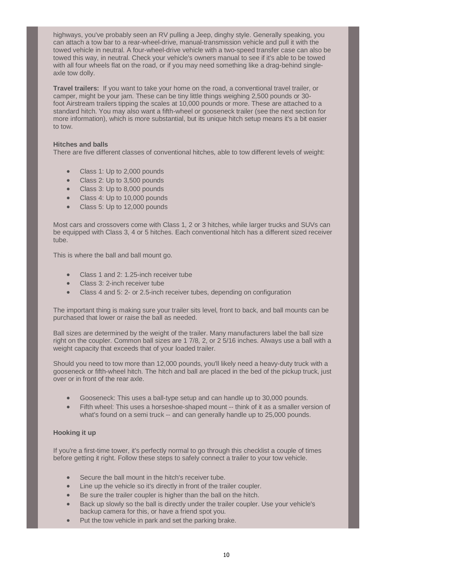highways, you've probably seen an RV pulling a Jeep, dinghy style. Generally speaking, you can attach a tow bar to a rear-wheel-drive, manual-transmission vehicle and pull it with the towed vehicle in neutral. A four-wheel-drive vehicle with a two-speed transfer case can also be towed this way, in neutral. Check your vehicle's owners manual to see if it's able to be towed with all four wheels flat on the road, or if you may need something like a drag-behind singleaxle tow dolly.

**Travel trailers:** If you want to take your home on the road, a conventional travel trailer, or camper, might be your jam. These can be tiny little things weighing 2,500 pounds or 30 foot Airstream trailers tipping the scales at 10,000 pounds or more. These are attached to a standard hitch. You may also want a fifth-wheel or gooseneck trailer (see the next section for more information), which is more substantial, but its unique hitch setup means it's a bit easier to tow.

# **Hitches and balls**

There are five different classes of conventional hitches, able to tow different levels of weight:

- Class 1: Up to 2,000 pounds
- Class 2: Up to 3,500 pounds
- Class 3: Up to 8,000 pounds
- Class 4: Up to 10,000 pounds
- Class 5: Up to 12,000 pounds

Most cars and crossovers come with Class 1, 2 or 3 hitches, while larger trucks and SUVs can be equipped with Class 3, 4 or 5 hitches. Each conventional hitch has a different sized receiver tube.

This is where the ball and ball mount go.

- � Class 1 and 2: 1.25-inch receiver tube
- Class 3: 2-inch receiver tube
- � Class 4 and 5: 2- or 2.5-inch receiver tubes, depending on configuration

The important thing is making sure your trailer sits level, front to back, and ball mounts can be purchased that lower or raise the ball as needed.

Ball sizes are determined by the weight of the trailer. Many manufacturers label the ball size right on the coupler. Common ball sizes are 1 7/8, 2, or 2 5/16 inches. Always use a ball with a weight capacity that exceeds that of your loaded trailer.

Should you need to tow more than 12,000 pounds, you'll likely need a heavy-duty truck with a gooseneck or fifth-wheel hitch. The hitch and ball are placed in the bed of the pickup truck, just over or in front of the rear axle.

- � Gooseneck: This uses a ball-type setup and can handle up to 30,000 pounds.
- Fifth wheel: This uses a horseshoe-shaped mount -- think of it as a smaller version of what's found on a semi truck -- and can generally handle up to 25,000 pounds.

## **Hooking it up**

If you're a first-time tower, it's perfectly normal to go through this checklist a couple of times before getting it right. Follow these steps to safely connect a trailer to your tow vehicle.

- Secure the ball mount in the hitch's receiver tube.
- Line up the vehicle so it's directly in front of the trailer coupler.
- Be sure the trailer coupler is higher than the ball on the hitch.
- � Back up slowly so the ball is directly under the trailer coupler. Use your vehicle's backup camera for this, or have a friend spot you.
- Put the tow vehicle in park and set the parking brake.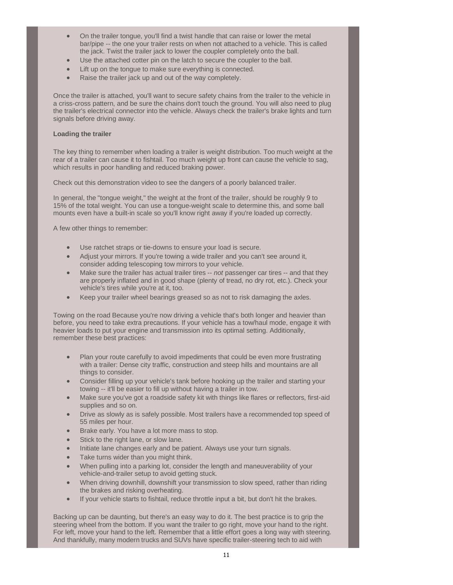- � On the trailer tongue, you'll find a twist handle that can raise or lower the metal bar/pipe -- the one your trailer rests on when not attached to a vehicle. This is called the jack. Twist the trailer jack to lower the coupler completely onto the ball.
- Use the attached cotter pin on the latch to secure the coupler to the ball.
- Lift up on the tongue to make sure everything is connected.
- Raise the trailer jack up and out of the way completely.

Once the trailer is attached, you'll want to secure safety chains from the trailer to the vehicle in a criss-cross pattern, and be sure the chains don't touch the ground. You will also need to plug the trailer's electrical connector into the vehicle. Always check the trailer's brake lights and turn signals before driving away.

# **Loading the trailer**

The key thing to remember when loading a trailer is weight distribution. Too much weight at the rear of a trailer can cause it to fishtail. Too much weight up front can cause the vehicle to sag, which results in poor handling and reduced braking power.

Check out this demonstration video to see the dangers of a poorly balanced trailer.

In general, the "tongue weight," the weight at the front of the trailer, should be roughly 9 to 15% of the total weight. You can use a tongue-weight scale to determine this, and some ball mounts even have a built-in scale so you'll know right away if you're loaded up correctly.

A few other things to remember:

- Use ratchet straps or tie-downs to ensure your load is secure.
- Adjust your mirrors. If you're towing a wide trailer and you can't see around it, consider adding telescoping tow mirrors to your vehicle.
- Make sure the trailer has actual trailer tires -- not passenger car tires -- and that they are properly inflated and in good shape (plenty of tread, no dry rot, etc.). Check your vehicle's tires while you're at it, too.
- � Keep your trailer wheel bearings greased so as not to risk damaging the axles.

Towing on the road Because you're now driving a vehicle that's both longer and heavier than before, you need to take extra precautions. If your vehicle has a tow/haul mode, engage it with heavier loads to put your engine and transmission into its optimal setting. Additionally, remember these best practices:

- � Plan your route carefully to avoid impediments that could be even more frustrating with a trailer: Dense city traffic, construction and steep hills and mountains are all things to consider.
- Consider filling up your vehicle's tank before hooking up the trailer and starting your towing -- it'll be easier to fill up without having a trailer in tow.
- Make sure you've got a roadside safety kit with things like flares or reflectors, first-aid supplies and so on.
- � Drive as slowly as is safely possible. Most trailers have a recommended top speed of 55 miles per hour.
- Brake early. You have a lot more mass to stop.
- Stick to the right lane, or slow lane.
- Initiate lane changes early and be patient. Always use your turn signals.
- Take turns wider than you might think.
- � When pulling into a parking lot, consider the length and maneuverability of your vehicle-and-trailer setup to avoid getting stuck.
- � When driving downhill, downshift your transmission to slow speed, rather than riding the brakes and risking overheating.
- � If your vehicle starts to fishtail, reduce throttle input a bit, but don't hit the brakes.

Backing up can be daunting, but there's an easy way to do it. The best practice is to grip the steering wheel from the bottom. If you want the trailer to go right, move your hand to the right. For left, move your hand to the left. Remember that a little effort goes a long way with steering. And thankfully, many modern trucks and SUVs have specific trailer-steering tech to aid with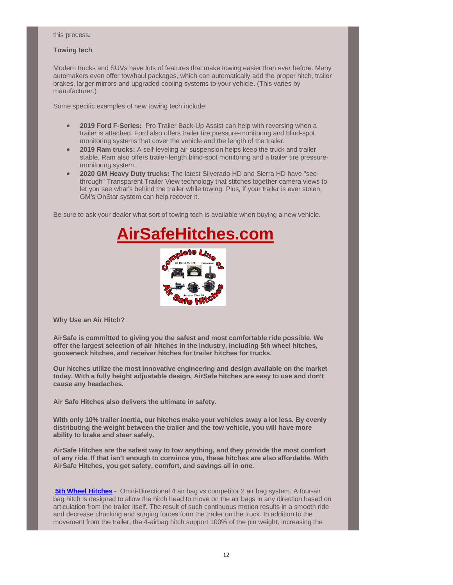#### this process.

# **Towing tech**

Modern trucks and SUVs have lots of features that make towing easier than ever before. Many automakers even offer tow/haul packages, which can automatically add the proper hitch, trailer brakes, larger mirrors and upgraded cooling systems to your vehicle. (This varies by manufacturer.)

Some specific examples of new towing tech include:

- � **2019 Ford F-Series:** Pro Trailer Back-Up Assist can help with reversing when a trailer is attached. Ford also offers trailer tire pressure-monitoring and blind-spot monitoring systems that cover the vehicle and the length of the trailer.
- � **2019 Ram trucks:** A self-leveling air suspension helps keep the truck and trailer stable. Ram also offers trailer-length blind-spot monitoring and a trailer tire pressuremonitoring system.
- � **2020 GM Heavy Duty trucks:** The latest Silverado HD and Sierra HD have "seethrough" Transparent Trailer View technology that stitches together camera views to let you see what's behind the trailer while towing. Plus, if your trailer is ever stolen, GM's OnStar system can help recover it.

Be sure to ask your dealer what sort of towing tech is available when buying a new vehicle.



**Why Use an Air Hitch?**

**AirSafe is committed to giving you the safest and most comfortable ride possible. We offer the largest selection of air hitches in the industry, including 5th wheel hitches, gooseneck hitches, and receiver hitches for trailer hitches for trucks.** 

**Our hitches utilize the most innovative engineering and design available on the market today. With a fully height adjustable design, AirSafe hitches are easy to use and don't cause any headaches.**

**Air Safe Hitches also delivers the ultimate in safety.**

**With only 10% trailer inertia, our hitches make your vehicles sway a lot less. By evenly distributing the weight between the trailer and the tow vehicle, you will have more ability to brake and steer safely.** 

**AirSafe Hitches are the safest way to tow anything, and they provide the most comfort of any ride. If that isn't enough to convince you, these hitches are also affordable. With AirSafe Hitches, you get safety, comfort, and savings all in one.**

**5th Wheel Hitches -** Omni-Directional 4 air bag vs competitor 2 air bag system. A four-air bag hitch is designed to allow the hitch head to move on the air bags in any direction based on articulation from the trailer itself. The result of such continuous motion results in a smooth ride and decrease chucking and surging forces form the trailer on the truck. In addition to the movement from the trailer, the 4-airbag hitch support 100% of the pin weight, increasing the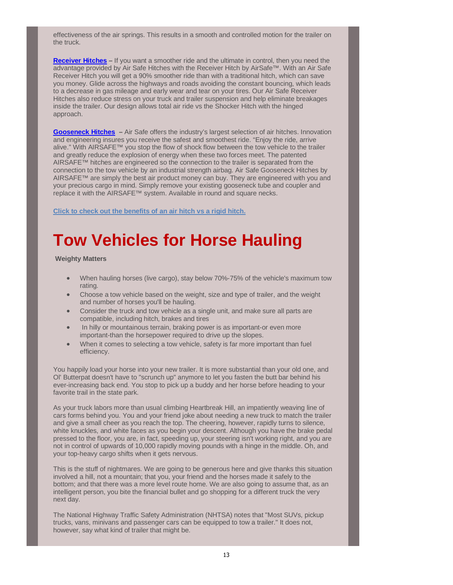effectiveness of the air springs. This results in a smooth and controlled motion for the trailer on the truck.

**Receiver Hitches –** If you want a smoother ride and the ultimate in control, then you need the advantage provided by Air Safe Hitches with the Receiver Hitch by AirSafe™. With an Air Safe Receiver Hitch you will get a 90% smoother ride than with a traditional hitch, which can save you money. Glide across the highways and roads avoiding the constant bouncing, which leads to a decrease in gas mileage and early wear and tear on your tires. Our Air Safe Receiver Hitches also reduce stress on your truck and trailer suspension and help eliminate breakages inside the trailer. Our design allows total air ride vs the Shocker Hitch with the hinged approach.

**Gooseneck Hitches –** Air Safe offers the industry's largest selection of air hitches. Innovation and engineering insures you receive the safest and smoothest ride. "Enjoy the ride, arrive alive." With AIRSAFE™ you stop the flow of shock flow between the tow vehicle to the trailer and greatly reduce the explosion of energy when these two forces meet. The patented AIRSAFE™ hitches are engineered so the connection to the trailer is separated from the connection to the tow vehicle by an industrial strength airbag. Air Safe Gooseneck Hitches by AIRSAFE™ are simply the best air product money can buy. They are engineered with you and your precious cargo in mind. Simply remove your existing gooseneck tube and coupler and replace it with the AIRSAFE™ system. Available in round and square necks.

**Click to check out the benefits of an air hitch vs a rigid hitch.**

# **Tow Vehicles for Horse Hauling**

# **Weighty Matters**

- � When hauling horses (live cargo), stay below 70%-75% of the vehicle's maximum tow rating.
- � Choose a tow vehicle based on the weight, size and type of trailer, and the weight and number of horses you'll be hauling.
- � Consider the truck and tow vehicle as a single unit, and make sure all parts are compatible, including hitch, brakes and tires
- In hilly or mountainous terrain, braking power is as important-or even more important-than the horsepower required to drive up the slopes.
- � When it comes to selecting a tow vehicle, safety is far more important than fuel efficiency.

You happily load your horse into your new trailer. It is more substantial than your old one, and Ol' Butterpat doesn't have to "scrunch up" anymore to let you fasten the butt bar behind his ever-increasing back end. You stop to pick up a buddy and her horse before heading to your favorite trail in the state park.

As your truck labors more than usual climbing Heartbreak Hill, an impatiently weaving line of cars forms behind you. You and your friend joke about needing a new truck to match the trailer and give a small cheer as you reach the top. The cheering, however, rapidly turns to silence, white knuckles, and white faces as you begin your descent. Although you have the brake pedal pressed to the floor, you are, in fact, speeding up, your steering isn't working right, and you are not in control of upwards of 10,000 rapidly moving pounds with a hinge in the middle. Oh, and your top-heavy cargo shifts when it gets nervous.

This is the stuff of nightmares. We are going to be generous here and give thanks this situation involved a hill, not a mountain; that you, your friend and the horses made it safely to the bottom; and that there was a more level route home. We are also going to assume that, as an intelligent person, you bite the financial bullet and go shopping for a different truck the very next day.

The National Highway Traffic Safety Administration (NHTSA) notes that "Most SUVs, pickup trucks, vans, minivans and passenger cars can be equipped to tow a trailer." It does not, however, say what kind of trailer that might be.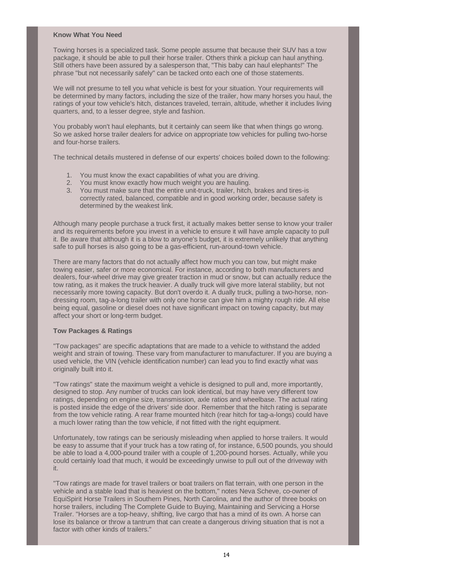# **Know What You Need**

Towing horses is a specialized task. Some people assume that because their SUV has a tow package, it should be able to pull their horse trailer. Others think a pickup can haul anything. Still others have been assured by a salesperson that, "This baby can haul elephants!" The phrase "but not necessarily safely" can be tacked onto each one of those statements.

We will not presume to tell you what vehicle is best for your situation. Your requirements will be determined by many factors, including the size of the trailer, how many horses you haul, the ratings of your tow vehicle's hitch, distances traveled, terrain, altitude, whether it includes living quarters, and, to a lesser degree, style and fashion.

You probably won't haul elephants, but it certainly can seem like that when things go wrong. So we asked horse trailer dealers for advice on appropriate tow vehicles for pulling two-horse and four-horse trailers.

The technical details mustered in defense of our experts' choices boiled down to the following:

- 1. You must know the exact capabilities of what you are driving.
- 2. You must know exactly how much weight you are hauling.
- 3. You must make sure that the entire unit-truck, trailer, hitch, brakes and tires-is correctly rated, balanced, compatible and in good working order, because safety is determined by the weakest link.

Although many people purchase a truck first, it actually makes better sense to know your trailer and its requirements before you invest in a vehicle to ensure it will have ample capacity to pull it. Be aware that although it is a blow to anyone's budget, it is extremely unlikely that anything safe to pull horses is also going to be a gas-efficient, run-around-town vehicle.

There are many factors that do not actually affect how much you can tow, but might make towing easier, safer or more economical. For instance, according to both manufacturers and dealers, four-wheel drive may give greater traction in mud or snow, but can actually reduce the tow rating, as it makes the truck heavier. A dually truck will give more lateral stability, but not necessarily more towing capacity. But don't overdo it. A dually truck, pulling a two-horse, nondressing room, tag-a-long trailer with only one horse can give him a mighty rough ride. All else being equal, gasoline or diesel does not have significant impact on towing capacity, but may affect your short or long-term budget.

# **Tow Packages & Ratings**

"Tow packages" are specific adaptations that are made to a vehicle to withstand the added weight and strain of towing. These vary from manufacturer to manufacturer. If you are buying a used vehicle, the VIN (vehicle identification number) can lead you to find exactly what was originally built into it.

"Tow ratings" state the maximum weight a vehicle is designed to pull and, more importantly, designed to stop. Any number of trucks can look identical, but may have very different tow ratings, depending on engine size, transmission, axle ratios and wheelbase. The actual rating is posted inside the edge of the drivers' side door. Remember that the hitch rating is separate from the tow vehicle rating. A rear frame mounted hitch (rear hitch for tag-a-longs) could have a much lower rating than the tow vehicle, if not fitted with the right equipment.

Unfortunately, tow ratings can be seriously misleading when applied to horse trailers. It would be easy to assume that if your truck has a tow rating of, for instance, 6,500 pounds, you should be able to load a 4,000-pound trailer with a couple of 1,200-pound horses. Actually, while you could certainly load that much, it would be exceedingly unwise to pull out of the driveway with it.

"Tow ratings are made for travel trailers or boat trailers on flat terrain, with one person in the vehicle and a stable load that is heaviest on the bottom," notes Neva Scheve, co-owner of EquiSpirit Horse Trailers in Southern Pines, North Carolina, and the author of three books on horse trailers, including The Complete Guide to Buying, Maintaining and Servicing a Horse Trailer. "Horses are a top-heavy, shifting, live cargo that has a mind of its own. A horse can lose its balance or throw a tantrum that can create a dangerous driving situation that is not a factor with other kinds of trailers."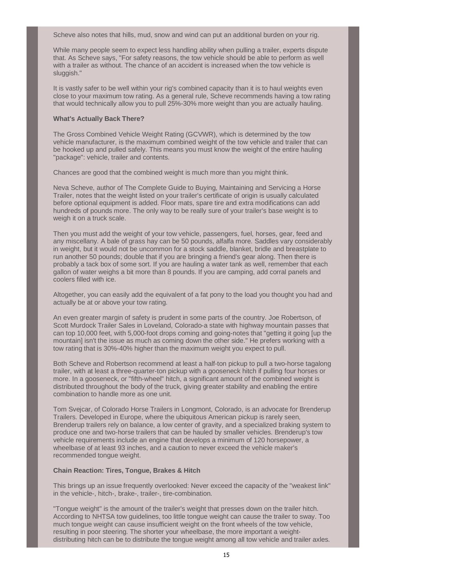Scheve also notes that hills, mud, snow and wind can put an additional burden on your rig.

While many people seem to expect less handling ability when pulling a trailer, experts dispute that. As Scheve says, "For safety reasons, the tow vehicle should be able to perform as well with a trailer as without. The chance of an accident is increased when the tow vehicle is sluggish."

It is vastly safer to be well within your rig's combined capacity than it is to haul weights even close to your maximum tow rating. As a general rule, Scheve recommends having a tow rating that would technically allow you to pull 25%-30% more weight than you are actually hauling.

## **What's Actually Back There?**

The Gross Combined Vehicle Weight Rating (GCVWR), which is determined by the tow vehicle manufacturer, is the maximum combined weight of the tow vehicle and trailer that can be hooked up and pulled safely. This means you must know the weight of the entire hauling "package": vehicle, trailer and contents.

Chances are good that the combined weight is much more than you might think.

Neva Scheve, author of The Complete Guide to Buying, Maintaining and Servicing a Horse Trailer, notes that the weight listed on your trailer's certificate of origin is usually calculated before optional equipment is added. Floor mats, spare tire and extra modifications can add hundreds of pounds more. The only way to be really sure of your trailer's base weight is to weigh it on a truck scale.

Then you must add the weight of your tow vehicle, passengers, fuel, horses, gear, feed and any miscellany. A bale of grass hay can be 50 pounds, alfalfa more. Saddles vary considerably in weight, but it would not be uncommon for a stock saddle, blanket, bridle and breastplate to run another 50 pounds; double that if you are bringing a friend's gear along. Then there is probably a tack box of some sort. If you are hauling a water tank as well, remember that each gallon of water weighs a bit more than 8 pounds. If you are camping, add corral panels and coolers filled with ice.

Altogether, you can easily add the equivalent of a fat pony to the load you thought you had and actually be at or above your tow rating.

An even greater margin of safety is prudent in some parts of the country. Joe Robertson, of Scott Murdock Trailer Sales in Loveland, Colorado-a state with highway mountain passes that can top 10,000 feet, with 5,000-foot drops coming and going-notes that "getting it going [up the mountain] isn't the issue as much as coming down the other side." He prefers working with a tow rating that is 30%-40% higher than the maximum weight you expect to pull.

Both Scheve and Robertson recommend at least a half-ton pickup to pull a two-horse tagalong trailer, with at least a three-quarter-ton pickup with a gooseneck hitch if pulling four horses or more. In a gooseneck, or "fifth-wheel" hitch, a significant amount of the combined weight is distributed throughout the body of the truck, giving greater stability and enabling the entire combination to handle more as one unit.

Tom Svejcar, of Colorado Horse Trailers in Longmont, Colorado, is an advocate for Brenderup Trailers. Developed in Europe, where the ubiquitous American pickup is rarely seen, Brenderup trailers rely on balance, a low center of gravity, and a specialized braking system to produce one and two-horse trailers that can be hauled by smaller vehicles. Brenderup's tow vehicle requirements include an engine that develops a minimum of 120 horsepower, a wheelbase of at least 93 inches, and a caution to never exceed the vehicle maker's recommended tongue weight.

## **Chain Reaction: Tires, Tongue, Brakes & Hitch**

This brings up an issue frequently overlooked: Never exceed the capacity of the "weakest link" in the vehicle-, hitch-, brake-, trailer-, tire-combination.

"Tongue weight" is the amount of the trailer's weight that presses down on the trailer hitch. According to NHTSA tow guidelines, too little tongue weight can cause the trailer to sway. Too much tongue weight can cause insufficient weight on the front wheels of the tow vehicle, resulting in poor steering. The shorter your wheelbase, the more important a weightdistributing hitch can be to distribute the tongue weight among all tow vehicle and trailer axles.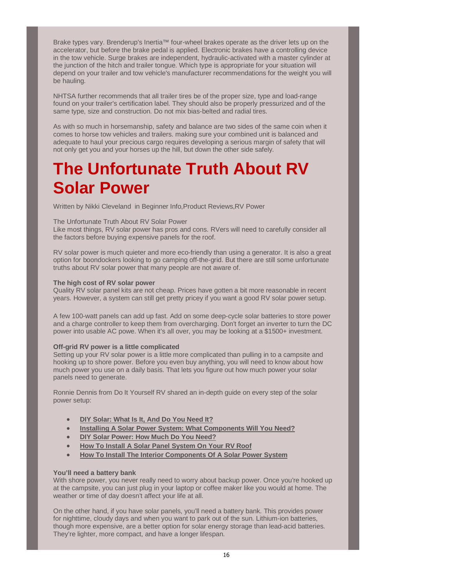Brake types vary. Brenderup's Inertia™ four-wheel brakes operate as the driver lets up on the accelerator, but before the brake pedal is applied. Electronic brakes have a controlling device in the tow vehicle. Surge brakes are independent, hydraulic-activated with a master cylinder at the junction of the hitch and trailer tongue. Which type is appropriate for your situation will depend on your trailer and tow vehicle's manufacturer recommendations for the weight you will be hauling.

NHTSA further recommends that all trailer tires be of the proper size, type and load-range found on your trailer's certification label. They should also be properly pressurized and of the same type, size and construction. Do not mix bias-belted and radial tires.

As with so much in horsemanship, safety and balance are two sides of the same coin when it comes to horse tow vehicles and trailers. making sure your combined unit is balanced and adequate to haul your precious cargo requires developing a serious margin of safety that will not only get you and your horses up the hill, but down the other side safely.

# **The Unfortunate Truth About RV Solar Power**

Written by Nikki Cleveland in Beginner Info,Product Reviews,RV Power

# The Unfortunate Truth About RV Solar Power

Like most things, RV solar power has pros and cons. RVers will need to carefully consider all the factors before buying expensive panels for the roof.

RV solar power is much quieter and more eco-friendly than using a generator. It is also a great option for boondockers looking to go camping off-the-grid. But there are still some unfortunate truths about RV solar power that many people are not aware of.

# **The high cost of RV solar power**

Quality RV solar panel kits are not cheap. Prices have gotten a bit more reasonable in recent years. However, a system can still get pretty pricey if you want a good RV solar power setup.

A few 100-watt panels can add up fast. Add on some deep-cycle solar batteries to store power and a charge controller to keep them from overcharging. Don't forget an inverter to turn the DC power into usable AC powe. When it's all over, you may be looking at a \$1500+ investment.

# **Off-grid RV power is a little complicated**

Setting up your RV solar power is a little more complicated than pulling in to a campsite and hooking up to shore power. Before you even buy anything, you will need to know about how much power you use on a daily basis. That lets you figure out how much power your solar panels need to generate.

Ronnie Dennis from Do It Yourself RV shared an in-depth guide on every step of the solar power setup:

- � **DIY Solar: What Is It, And Do You Need It?**
- � **Installing A Solar Power System: What Components Will You Need?**
- � **DIY Solar Power: How Much Do You Need?**
- � **How To Install A Solar Panel System On Your RV Roof**
- � **How To Install The Interior Components Of A Solar Power System**

# **You'll need a battery bank**

With shore power, you never really need to worry about backup power. Once you're hooked up at the campsite, you can just plug in your laptop or coffee maker like you would at home. The weather or time of day doesn't affect your life at all.

On the other hand, if you have solar panels, you'll need a battery bank. This provides power for nighttime, cloudy days and when you want to park out of the sun. Lithium-ion batteries, though more expensive, are a better option for solar energy storage than lead-acid batteries. They're lighter, more compact, and have a longer lifespan.